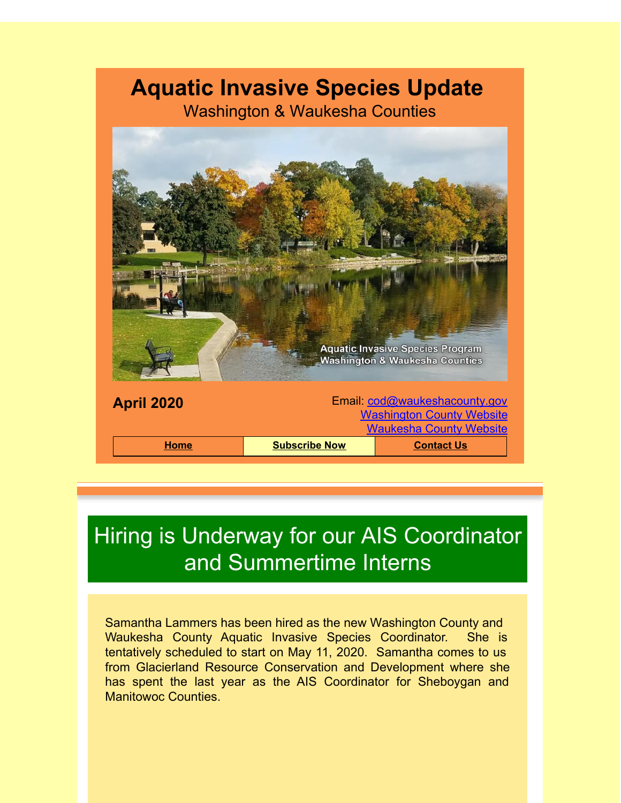## **Aquatic Invasive Species Update**

Washington & Waukesha Counties



## Hiring is Underway for our AIS Coordinator and Summertime Interns

Samantha Lammers has been hired as the new Washington County and Waukesha County Aquatic Invasive Species Coordinator. She is tentatively scheduled to start on May 11, 2020. Samantha comes to us from Glacierland Resource Conservation and Development where she has spent the last year as the AIS Coordinator for Sheboygan and Manitowoc Counties.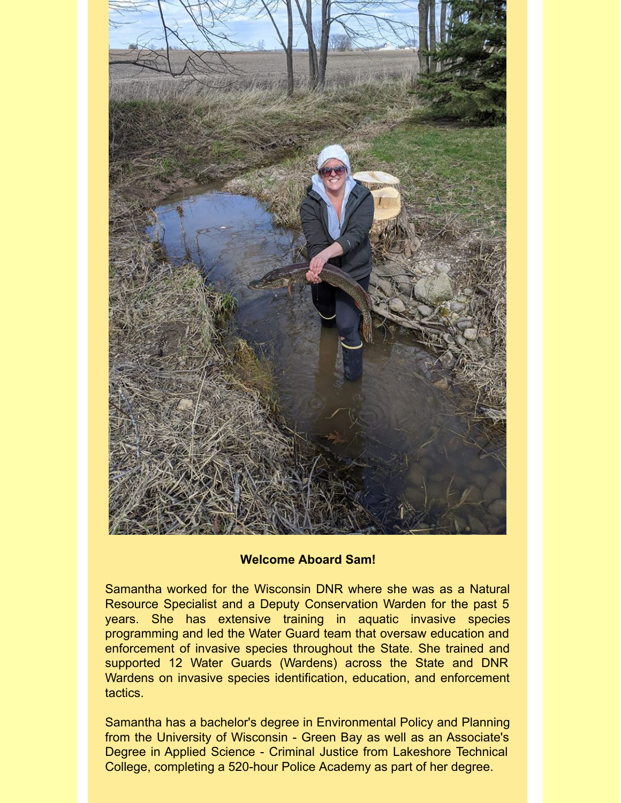

## **Welcome Aboard Sam!**

Samantha worked for the Wisconsin DNR where she was as a Natural Resource Specialist and a Deputy Conservation Warden for the past 5 years. She has extensive training in aquatic invasive species programming and led the Water Guard team that oversaw education and enforcement of invasive species throughout the State. She trained and supported 12 Water Guards (Wardens) across the State and DNR Wardens on invasive species identification, education, and enforcement tactics.

Samantha has a bachelor's degree in Environmental Policy and Planning from the University of Wisconsin - Green Bay as well as an Associate's Degree in Applied Science - Criminal Justice from Lakeshore Technical College, completing a 520-hour Police Academy as part of her degree.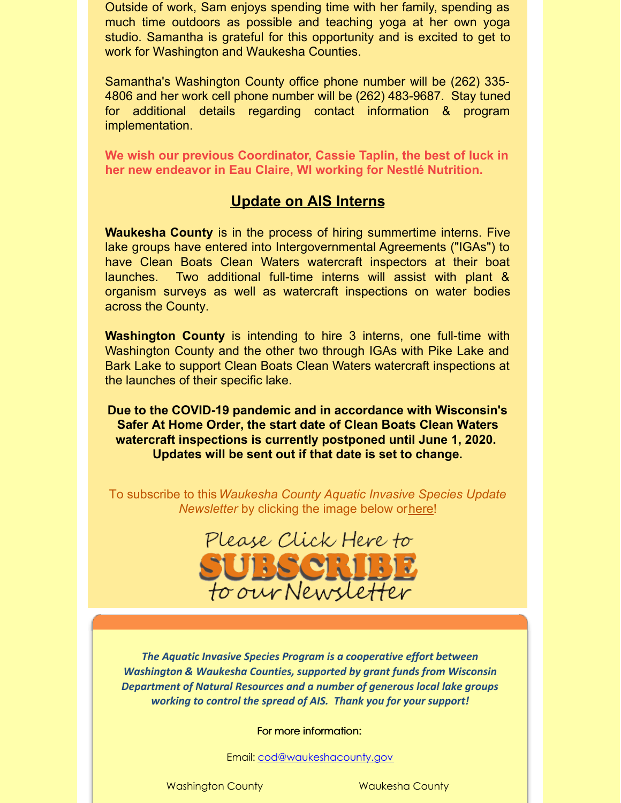Outside of work, Sam enjoys spending time with her family, spending as much time outdoors as possible and teaching yoga at her own yoga studio. Samantha is grateful for this opportunity and is excited to get to work for Washington and Waukesha Counties.

Samantha's Washington County office phone number will be (262) 335- 4806 and her work cell phone number will be (262) 483-9687. Stay tuned for additional details regarding contact information & program implementation.

**We wish our previous Coordinator, Cassie Taplin, the best of luck in her new endeavor in Eau Claire, WI working for Nestlé Nutrition.**

## **Update on AIS Interns**

**Waukesha County** is in the process of hiring summertime interns. Five lake groups have entered into Intergovernmental Agreements ("IGAs") to have Clean Boats Clean Waters watercraft inspectors at their boat launches. Two additional full-time interns will assist with plant & organism surveys as well as watercraft inspections on water bodies across the County.

**Washington County** is intending to hire 3 interns, one full-time with Washington County and the other two through IGAs with Pike Lake and Bark Lake to support Clean Boats Clean Waters watercraft inspections at the launches of their specific lake.

**Due to the COVID-19 pandemic and in accordance with Wisconsin's Safer At Home Order, the start date of Clean Boats Clean Waters watercraft inspections is currently postponed until June 1, 2020. Updates will be sent out if that date is set to change.**

To subscribe to this*Waukesha County Aquatic Invasive Species Update Newsletter* by clicking the image below or[here](http://visitor.r20.constantcontact.com/d.jsp?llr=kfohqmcab&p=oi&m=1102078785706&sit=mdwsaogdb&f=72c567dd-ea1f-46d9-a3b3-0487646a78a3)!



*The Aquatic Invasive Species Program is a cooperative effort between Washington & Waukesha Counties, supported by grant funds from Wisconsin Department of Natural Resources and a number of generous local lake groups working to control the spread of AIS. Thank you for your support!*

For more information:

Email: [cod@waukeshacounty.gov](mailto:cod@waukeshacounty.gov)

Washington County **Waukesha County**